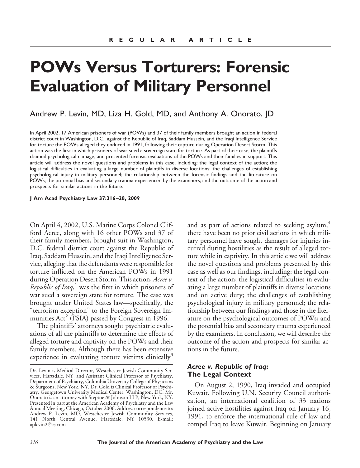# **POWs Versus Torturers: Forensic Evaluation of Military Personnel**

Andrew P. Levin, MD, Liza H. Gold, MD, and Anthony A. Onorato, JD

In April 2002, 17 American prisoners of war (POWs) and 37 of their family members brought an action in federal district court in Washington, D.C., against the Republic of Iraq, Saddam Hussein, and the Iraqi Intelligence Service for torture the POWs alleged they endured in 1991, following their capture during Operation Desert Storm. This action was the first in which prisoners of war sued a sovereign state for torture. As part of their case, the plaintiffs claimed psychological damage, and presented forensic evaluations of the POWs and their families in support. This article will address the novel questions and problems in this case, including: the legal context of the action; the logistical difficulties in evaluating a large number of plaintiffs in diverse locations; the challenges of establishing psychological injury in military personnel; the relationship between the forensic findings and the literature on POWs; the potential bias and secondary trauma experienced by the examiners; and the outcome of the action and prospects for similar actions in the future.

**J Am Acad Psychiatry Law 37:316 –28, 2009**

On April 4, 2002, U.S. Marine Corps Colonel Clifford Acree, along with 16 other POWs and 37 of their family members, brought suit in Washington, D.C. federal district court against the Republic of Iraq, Saddam Hussein, and the Iraqi Intelligence Service, alleging that the defendants were responsible for torture inflicted on the American POWs in 1991 during Operation Desert Storm. This action, *Acree v. Republic of Iraq*, <sup>1</sup> was the first in which prisoners of war sued a sovereign state for torture. The case was brought under United States law—specifically, the "terrorism exception" to the Foreign Sovereign Immunities  $Act^2$  (FSIA) passed by Congress in 1996.

The plaintiffs' attorneys sought psychiatric evaluations of all the plaintiffs to determine the effects of alleged torture and captivity on the POWs and their family members. Although there has been extensive experience in evaluating torture victims clinically<sup>3</sup>

and as part of actions related to seeking asylum,<sup>4</sup> there have been no prior civil actions in which military personnel have sought damages for injuries incurred during hostilities as the result of alleged torture while in captivity. In this article we will address the novel questions and problems presented by this case as well as our findings, including: the legal context of the action; the logistical difficulties in evaluating a large number of plaintiffs in diverse locations and on active duty; the challenges of establishing psychological injury in military personnel; the relationship between our findings and those in the literature on the psychological outcomes of POWs; and the potential bias and secondary trauma experienced by the examiners. In conclusion, we will describe the outcome of the action and prospects for similar actions in the future.

### *Acree v. Republic of Iraq***: The Legal Context**

On August 2, 1990, Iraq invaded and occupied Kuwait. Following U.N. Security Council authorization, an international coalition of 33 nations joined active hostilities against Iraq on January 16, 1991, to enforce the international rule of law and compel Iraq to leave Kuwait. Beginning on January

Dr. Levin is Medical Director, Westchester Jewish Community Services, Hartsdale, NY, and Assistant Clinical Professor of Psychiatry, Department of Psychiatry, Columbia University College of Physicians & Surgeons, New York, NY. Dr. Gold is Clinical Professor of Psychiatry, Georgetown University Medical Center, Washington, DC. Mr. Onorato is an attorney with Steptoe & Johnson LLP, New York, NY. Presented in part at the American Academy of Psychiatry and the Law Annual Meeting, Chicago, October 2006. Address correspondence to: Andrew P. Levin, MD, Westchester Jewish Community Services, 141 North Central Avenue, Hartsdale, NY 10530. E-mail: aplevin2@cs.com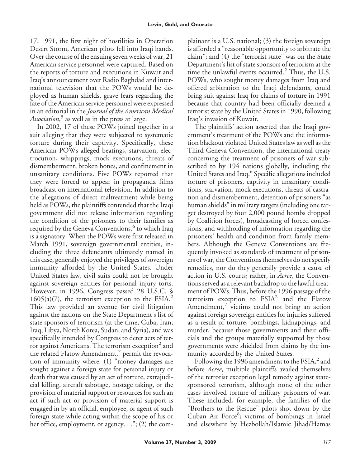17, 1991, the first night of hostilities in Operation Desert Storm, American pilots fell into Iraqi hands. Over the course of the ensuing seven weeks of war, 21 American service personnel were captured. Based on the reports of torture and executions in Kuwait and Iraq's announcement over Radio Baghdad and international television that the POWs would be deployed as human shields, grave fears regarding the fate of the American service personnel were expressed in an editorial in the *Journal of the American Medical Association*, <sup>5</sup> as well as in the press at large.

In 2002, 17 of these POWs joined together in a suit alleging that they were subjected to systematic torture during their captivity. Specifically, these American POWs alleged beatings, starvation, electrocution, whippings, mock executions, threats of dismemberment, broken bones, and confinement in unsanitary conditions. Five POWs reported that they were forced to appear in propaganda films broadcast on international television. In addition to the allegations of direct maltreatment while being held as POWs, the plaintiffs contended that the Iraqi government did not release information regarding the condition of the prisoners to their families as required by the Geneva Conventions,<sup>6</sup> to which Iraq is a signatory. When the POWs were first released in March 1991, sovereign governmental entities, including the three defendants ultimately named in this case, generally enjoyed the privileges of sovereign immunity afforded by the United States. Under United States law, civil suits could not be brought against sovereign entities for personal injury torts. However, in 1996, Congress passed 28 U.S.C. §  $1605(a)(7)$ , the terrorism exception to the FSIA.<sup>2</sup> This law provided an avenue for civil litigation against the nations on the State Department's list of state sponsors of terrorism (at the time, Cuba, Iran, Iraq, Libya, North Korea, Sudan, and Syria), and was specifically intended by Congress to deter acts of terror against Americans. The terrorism exception<sup>2</sup> and the related Flatow Amendment,<sup>7</sup> permit the revocation of immunity where: (1) "money damages are sought against a foreign state for personal injury or death that was caused by an act of torture, extrajudicial killing, aircraft sabotage, hostage taking, or the provision of material support or resources for such an act if such act or provision of material support is engaged in by an official, employee, or agent of such foreign state while acting within the scope of his or her office, employment, or agency. . ."; (2) the com-

plainant is a U.S. national; (3) the foreign sovereign is afforded a "reasonable opportunity to arbitrate the claim"; and (4) the "terrorist state" was on the State Department's list of state sponsors of terrorism at the time the unlawful events occurred.<sup>2</sup> Thus, the U.S. POWs, who sought money damages from Iraq and offered arbitration to the Iraqi defendants, could bring suit against Iraq for claims of torture in 1991 because that country had been officially deemed a terrorist state by the United States in 1990, following Iraq's invasion of Kuwait.

The plaintiffs' action asserted that the Iraqi government's treatment of the POWs and the information blackout violated United States law as well as the Third Geneva Convention, the international treaty concerning the treatment of prisoners of war subscribed to by 194 nations globally, including the United States and Iraq.<sup>6</sup> Specific allegations included torture of prisoners, captivity in unsanitary conditions, starvation, mock executions, threats of castration and dismemberment, detention of prisoners "as human shields" in military targets (including one target destroyed by four 2,000 pound bombs dropped by Coalition forces), broadcasting of forced confessions, and withholding of information regarding the prisoners' health and condition from family members. Although the Geneva Conventions are frequently invoked as standards of treatment of prisoners of war, the Conventions themselves do not specify remedies, nor do they generally provide a cause of action in U.S. courts; rather, in *Acree*, the Conventions served as a relevant backdrop to the lawful treatment of POWs. Thus, before the 1996 passage of the terrorism exception to  $FSIA<sup>2</sup>$  and the Flatow Amendment, victims could not bring an action against foreign sovereign entities for injuries suffered as a result of torture, bombings, kidnappings, and murder, because those governments and their officials and the groups materially supported by those governments were shielded from claims by the immunity accorded by the United States.

Following the 1996 amendment to the  $FSIA$ , and before *Acree*, multiple plaintiffs availed themselves of the terrorist exception legal remedy against statesponsored terrorism, although none of the other cases involved torture of military prisoners of war. These included, for example, the families of the "Brothers to the Rescue" pilots shot down by the Cuban Air Force<sup>8</sup>; victims of bombings in Israel and elsewhere by Hezbollah/Islamic Jihad/Hamas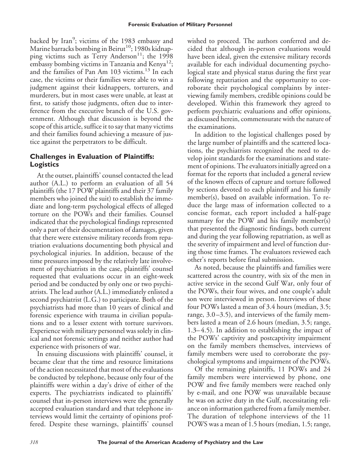backed by Iran<sup>9</sup>; victims of the 1983 embassy and Marine barracks bombing in Beirut<sup>10</sup>; 1980s kidnapping victims such as Terry Anderson<sup>11</sup>; the 1998 embassy bombing victims in Tanzania and Kenya<sup>12</sup>; and the families of Pan Am 103 victims.<sup>13</sup> In each case, the victims or their families were able to win a judgment against their kidnappers, torturers, and murderers, but in most cases were unable, at least at first, to satisfy those judgments, often due to interference from the executive branch of the U.S. government. Although that discussion is beyond the scope of this article, suffice it to say that many victims and their families found achieving a measure of justice against the perpetrators to be difficult.

## **Challenges in Evaluation of Plaintiffs: Logistics**

At the outset, plaintiffs' counsel contacted the lead author (A.L.) to perform an evaluation of all 54 plaintiffs (the 17 POW plaintiffs and their 37 family members who joined the suit) to establish the immediate and long-term psychological effects of alleged torture on the POWs and their families. Counsel indicated that the psychological findings represented only a part of their documentation of damages, given that there were extensive military records from repatriation evaluations documenting both physical and psychological injuries. In addition, because of the time pressures imposed by the relatively late involvement of psychiatrists in the case, plaintiffs' counsel requested that evaluations occur in an eight-week period and be conducted by only one or two psychiatrists. The lead author (A.L.) immediately enlisted a second psychiatrist (L.G.) to participate. Both of the psychiatrists had more than 10 years of clinical and forensic experience with trauma in civilian populations and to a lesser extent with torture survivors. Experience with military personnel was solely in clinical and not forensic settings and neither author had experience with prisoners of war.

In ensuing discussions with plaintiffs' counsel, it became clear that the time and resource limitations of the action necessitated that most of the evaluations be conducted by telephone, because only four of the plaintiffs were within a day's drive of either of the experts. The psychiatrists indicated to plaintiffs' counsel that in-person interviews were the generally accepted evaluation standard and that telephone interviews would limit the certainty of opinions proffered. Despite these warnings, plaintiffs' counsel wished to proceed. The authors conferred and decided that although in-person evaluations would have been ideal, given the extensive military records available for each individual documenting psychological state and physical status during the first year following repatriation and the opportunity to corroborate their psychological complaints by interviewing family members, credible opinions could be developed. Within this framework they agreed to perform psychiatric evaluations and offer opinions, as discussed herein, commensurate with the nature of the examinations.

In addition to the logistical challenges posed by the large number of plaintiffs and the scattered locations, the psychiatrists recognized the need to develop joint standards for the examinations and statement of opinions. The evaluators initially agreed on a format for the reports that included a general review of the known effects of capture and torture followed by sections devoted to each plaintiff and his family member(s), based on available information. To reduce the large mass of information collected to a concise format, each report included a half-page summary for the POW and his family member(s) that presented the diagnostic findings, both current and during the year following repatriation, as well as the severity of impairment and level of function during those time frames. The evaluators reviewed each other's reports before final submission.

As noted, because the plaintiffs and families were scattered across the country, with six of the men in active service in the second Gulf War, only four of the POWs, their four wives, and one couple's adult son were interviewed in person. Interviews of these four POWs lasted a mean of 3.4 hours (median, 3.5; range, 3.0 –3.5), and interviews of the family members lasted a mean of 2.6 hours (median, 3.5; range, 1.3– 4.5). In addition to establishing the impact of the POWs' captivity and postcaptivity impairment on the family members themselves, interviews of family members were used to corroborate the psychological symptoms and impairment of the POWs.

Of the remaining plaintiffs, 11 POWs and 24 family members were interviewed by phone, one POW and five family members were reached only by e-mail, and one POW was unavailable because he was on active duty in the Gulf, necessitating reliance on information gathered from a family member. The duration of telephone interviews of the 11 POWS was a mean of 1.5 hours (median, 1.5; range,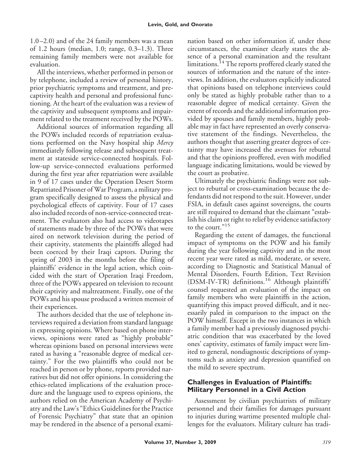1.0 –2.0) and of the 24 family members was a mean of 1.2 hours (median, 1.0; range, 0.3–1.3). Three remaining family members were not available for evaluation.

All the interviews, whether performed in person or by telephone, included a review of personal history, prior psychiatric symptoms and treatment, and precaptivity health and personal and professional functioning. At the heart of the evaluation was a review of the captivity and subsequent symptoms and impairment related to the treatment received by the POWs.

Additional sources of information regarding all the POWs included records of repatriation evaluations performed on the Navy hospital ship *Mercy* immediately following release and subsequent treatment at stateside service-connected hospitals. Follow-up service-connected evaluations performed during the first year after repatriation were available in 9 of 17 cases under the Operation Desert Storm Repatriated Prisoner of War Program, a military program specifically designed to assess the physical and psychological effects of captivity. Four of 17 cases also included records of non-service-connected treatment. The evaluators also had access to videotapes of statements made by three of the POWs that were aired on network television during the period of their captivity, statements the plaintiffs alleged had been coerced by their Iraqi captors. During the spring of 2003 in the months before the filing of plaintiffs' evidence in the legal action, which coincided with the start of Operation Iraqi Freedom, three of the POWs appeared on television to recount their captivity and maltreatment. Finally, one of the POWs and his spouse produced a written memoir of their experiences.

The authors decided that the use of telephone interviews required a deviation from standard language in expressing opinions. Where based on phone interviews, opinions were rated as "highly probable" whereas opinions based on personal interviews were rated as having a "reasonable degree of medical certainty." For the two plaintiffs who could not be reached in person or by phone, reports provided narratives but did not offer opinions. In considering the ethics-related implications of the evaluation procedure and the language used to express opinions, the authors relied on the American Academy of Psychiatry and the Law's "Ethics Guidelines for the Practice of Forensic Psychiatry" that state that an opinion may be rendered in the absence of a personal examination based on other information if, under these circumstances, the examiner clearly states the absence of a personal examination and the resultant limitations.<sup>14</sup> The reports proffered clearly stated the sources of information and the nature of the interviews. In addition, the evaluators explicitly indicated that opinions based on telephone interviews could only be stated as highly probable rather than to a reasonable degree of medical certainty. Given the extent of records and the additional information provided by spouses and family members, highly probable may in fact have represented an overly conservative statement of the findings. Nevertheless, the authors thought that asserting greater degrees of certainty may have increased the avenues for rebuttal and that the opinions proffered, even with modified language indicating limitations, would be viewed by the court as probative.

Ultimately the psychiatric findings were not subject to rebuttal or cross-examination because the defendants did not respond to the suit. However, under FSIA, in default cases against sovereigns, the courts are still required to demand that the claimant "establish his claim or right to relief by evidence satisfactory to the court."<sup>15</sup>

Regarding the extent of damages, the functional impact of symptoms on the POW and his family during the year following captivity and in the most recent year were rated as mild, moderate, or severe, according to Diagnostic and Statistical Manual of Mental Disorders, Fourth Edition, Text Revision (DSM-IV-TR) definitions.<sup>16</sup> Although plaintiffs' counsel requested an evaluation of the impact on family members who were plaintiffs in the action, quantifying this impact proved difficult, and it necessarily paled in comparison to the impact on the POW himself. Except in the two instances in which a family member had a previously diagnosed psychiatric condition that was exacerbated by the loved ones' captivity, estimates of family impact were limited to general, nondiagnostic descriptions of symptoms such as anxiety and depression quantified on the mild to severe spectrum.

## **Challenges in Evaluation of Plaintiffs: Military Personnel in a Civil Action**

Assessment by civilian psychiatrists of military personnel and their families for damages pursuant to injuries during wartime presented multiple challenges for the evaluators. Military culture has tradi-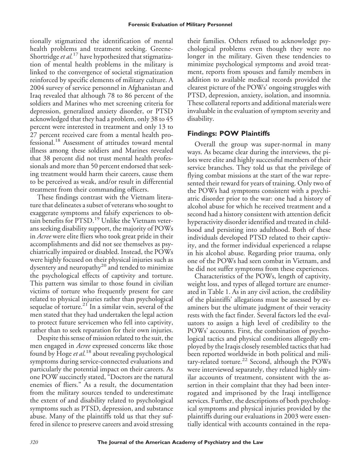tionally stigmatized the identification of mental health problems and treatment seeking. Greene-Shortridge*et al.*<sup>17</sup> have hypothesized that stigmatization of mental health problems in the military is linked to the convergence of societal stigmatization reinforced by specific elements of military culture. A 2004 survey of service personnel in Afghanistan and Iraq revealed that although 78 to 86 percent of the soldiers and Marines who met screening criteria for depression, generalized anxiety disorder, or PTSD acknowledged that they had a problem, only 38 to 45 percent were interested in treatment and only 13 to 27 percent received care from a mental health professional.<sup>18</sup> Assessment of attitudes toward mental illness among these soldiers and Marines revealed that 38 percent did not trust mental health professionals and more than 50 percent endorsed that seeking treatment would harm their careers, cause them to be perceived as weak, and/or result in differential treatment from their commanding officers.

These findings contrast with the Vietnam literature that delineates a subset of veterans who sought to exaggerate symptoms and falsify experiences to obtain benefits for PTSD.<sup>19</sup> Unlike the Vietnam veterans seeking disability support, the majority of POWs in *Acree* were elite fliers who took great pride in their accomplishments and did not see themselves as psychiatrically impaired or disabled. Instead, the POWs were highly focused on their physical injuries such as dysentery and neuropathy<sup>20</sup> and tended to minimize the psychological effects of captivity and torture. This pattern was similar to those found in civilian victims of torture who frequently present for care related to physical injuries rather than psychological sequelae of torture.<sup>21</sup> In a similar vein, several of the men stated that they had undertaken the legal action to protect future servicemen who fell into captivity, rather than to seek reparation for their own injuries.

Despite this sense of mission related to the suit, the men engaged in *Acree* expressed concerns like those found by Hoge *et al.*<sup>18</sup> about revealing psychological symptoms during service-connected evaluations and particularly the potential impact on their careers. As one POW succinctly stated, "Doctors are the natural enemies of fliers." As a result, the documentation from the military sources tended to underestimate the extent of and disability related to psychological symptoms such as PTSD, depression, and substance abuse. Many of the plaintiffs told us that they suffered in silence to preserve careers and avoid stressing

their families. Others refused to acknowledge psychological problems even though they were no longer in the military. Given these tendencies to minimize psychological symptoms and avoid treatment, reports from spouses and family members in addition to available medical records provided the clearest picture of the POWs' ongoing struggles with PTSD, depression, anxiety, isolation, and insomnia. These collateral reports and additional materials were invaluable in the evaluation of symptom severity and disability.

## **Findings: POW Plaintiffs**

Overall the group was super-normal in many ways. As became clear during the interviews, the pilots were elite and highly successful members of their service branches. They told us that the privilege of flying combat missions at the start of the war represented their reward for years of training. Only two of the POWs had symptoms consistent with a psychiatric disorder prior to the war: one had a history of alcohol abuse for which he received treatment and a second had a history consistent with attention deficit hyperactivity disorder identified and treated in childhood and persisting into adulthood. Both of these individuals developed PTSD related to their captivity, and the former individual experienced a relapse in his alcohol abuse. Regarding prior trauma, only one of the POWs had seen combat in Vietnam, and he did not suffer symptoms from these experiences.

Characteristics of the POWs, length of captivity, weight loss, and types of alleged torture are enumerated in Table 1. As in any civil action, the credibility of the plaintiffs' allegations must be assessed by examiners but the ultimate judgment of their veracity rests with the fact finder. Several factors led the evaluators to assign a high level of credibility to the POWs' accounts. First, the combination of psychological tactics and physical conditions allegedly employed by the Iraqis closely resembled tactics that had been reported worldwide in both political and military-related torture.<sup>22</sup> Second, although the POWs were interviewed separately, they related highly similar accounts of treatment, consistent with the assertion in their complaint that they had been interrogated and imprisoned by the Iraqi intelligence services. Further, the descriptions of both psychological symptoms and physical injuries provided by the plaintiffs during our evaluations in 2003 were essentially identical with accounts contained in the repa-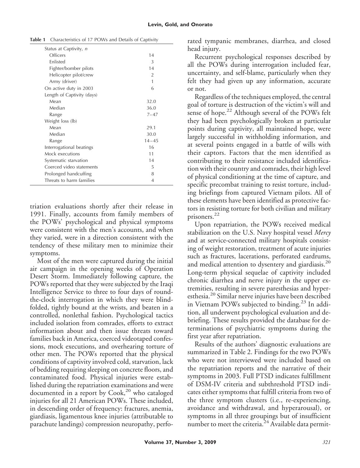| Status at Captivity, n     |           |
|----------------------------|-----------|
| Officers                   | 14        |
| Enlisted                   | 3         |
| Fighter/bomber pilots      | 14        |
| Helicopter pilot/crew      | 2         |
| Army (driver)              | 1         |
| On active duty in 2003     | 6         |
| Length of Captivity (days) |           |
| Mean                       | 32.0      |
| Median                     | 36.0      |
| Range                      | $7 - 47$  |
| Weight loss (lb)           |           |
| Mean                       | 29.1      |
| Median                     | 30.0      |
| Range                      | $14 - 45$ |
| Interrogational beatings   | 16        |
| Mock executions            | 11        |
| Systematic starvation      | 14        |
| Coerced video statements   | 5         |
| Prolonged handcuffing      | 8         |
| Threats to harm families   | 4         |
|                            |           |

**Table 1** Characteristics of 17 POWs and Details of Captivity

triation evaluations shortly after their release in 1991. Finally, accounts from family members of the POWs' psychological and physical symptoms were consistent with the men's accounts, and when they varied, were in a direction consistent with the tendency of these military men to minimize their symptoms.

Most of the men were captured during the initial air campaign in the opening weeks of Operation Desert Storm. Immediately following capture, the POWs reported that they were subjected by the Iraqi Intelligence Service to three to four days of roundthe-clock interrogation in which they were blindfolded, tightly bound at the wrists, and beaten in a controlled, nonlethal fashion. Psychological tactics included isolation from comrades, efforts to extract information about and then issue threats toward families back in America, coerced videotaped confessions, mock executions, and overhearing torture of other men. The POWs reported that the physical conditions of captivity involved cold, starvation, lack of bedding requiring sleeping on concrete floors, and contaminated food. Physical injuries were established during the repatriation examinations and were documented in a report by  $Cook<sub>20</sub>$  who cataloged injuries for all 21 American POWs. These included, in descending order of frequency: fractures, anemia, giardiasis, ligamentous knee injuries (attributable to parachute landings) compression neuropathy, perforated tympanic membranes, diarrhea, and closed head injury.

Recurrent psychological responses described by all the POWs during interrogation included fear, uncertainty, and self-blame, particularly when they felt they had given up any information, accurate or not.

Regardless of the techniques employed, the central goal of torture is destruction of the victim's will and sense of hope.<sup>22</sup> Although several of the POWs felt they had been psychologically broken at particular points during captivity, all maintained hope, were largely successful in withholding information, and at several points engaged in a battle of wills with their captors. Factors that the men identified as contributing to their resistance included identification with their country and comrades, their high level of physical conditioning at the time of capture, and specific precombat training to resist torture, including briefings from captured Vietnam pilots. All of these elements have been identified as protective factors in resisting torture for both civilian and military prisoners.<sup>22</sup>

Upon repatriation, the POWs received medical stabilization on the U.S. Navy hospital vessel *Mercy* and at service-connected military hospitals consisting of weight restoration, treatment of acute injuries such as fractures, lacerations, perforated eardrums, and medical attention to dysentery and giardiasis.<sup>20</sup> Long-term physical sequelae of captivity included chronic diarrhea and nerve injury in the upper extremities, resulting in severe paresthesias and hyperesthesia.<sup>20</sup> Similar nerve injuries have been described in Vietnam POWs subjected to binding.<sup>23</sup> In addition, all underwent psychological evaluation and debriefing. These results provided the database for determinations of psychiatric symptoms during the first year after repatriation.

Results of the authors' diagnostic evaluations are summarized in Table 2. Findings for the two POWs who were not interviewed were included based on the repatriation reports and the narrative of their symptoms in 2003. Full PTSD indicates fulfillment of DSM-IV criteria and subthreshold PTSD indicates either symptoms that fulfill criteria from two of the three symptom clusters (i.e., re-experiencing, avoidance and withdrawal, and hyperarousal), or symptoms in all three groupings but of insufficient number to meet the criteria.<sup>24</sup> Available data permit-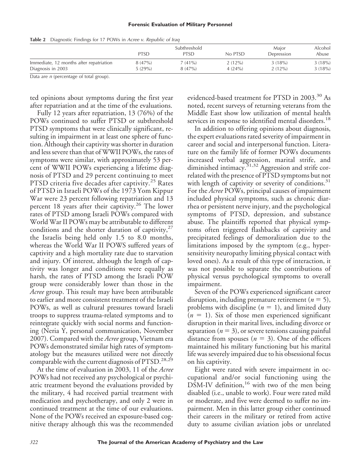#### **Forensic Evaluation of Military Personnel**

|                                         | <b>PTSD</b> | Subthreshold<br><b>PTSD</b> | No PTSD   | Major<br>Depression | Alcohol<br>Abuse |
|-----------------------------------------|-------------|-----------------------------|-----------|---------------------|------------------|
| Immediate, 12 months after repatriation | $8(47\%)$   | $7(41\%)$                   | $2(12\%)$ | 3(18%)              | 3(18%)           |
| Diagnosis in 2003                       | 5(29%)      | $8(47\%)$                   | 4(24%)    | $2(12\%)$           | 3(18%)           |

#### **Table 2** Diagnostic Findings for 17 POWs in *Acree v. Republic of Iraq*

Data are *n* (percentage of total group).

ted opinions about symptoms during the first year after repatriation and at the time of the evaluations.

Fully 12 years after repatriation, 13 (76%) of the POWs continued to suffer PTSD or subthreshold PTSD symptoms that were clinically significant, resulting in impairment in at least one sphere of function. Although their captivity was shorter in duration and less severe than that of WWII POWs, the rates of symptoms were similar, with approximately 53 percent of WWII POWs experiencing a lifetime diagnosis of PTSD and 29 percent continuing to meet PTSD criteria five decades after captivity.<sup>25</sup> Rates of PTSD in Israeli POWs of the 1973 Yom Kippur War were 23 percent following repatriation and 13 percent 18 years after their captivity.<sup>26</sup> The lower rates of PTSD among Israeli POWs compared with World War II POWs may be attributable to different conditions and the shorter duration of captivity, $27$ the Israelis being held only 1.5 to 8.0 months, whereas the World War II POWS suffered years of captivity and a high mortality rate due to starvation and injury. Of interest, although the length of captivity was longer and conditions were equally as harsh, the rates of PTSD among the Israeli POW group were considerably lower than those in the *Acree* group. This result may have been attributable to earlier and more consistent treatment of the Israeli POWs, as well as cultural pressures toward Israeli troops to suppress trauma-related symptoms and to reintegrate quickly with social norms and functioning (Neria Y, personal communication, November 2007). Compared with the *Acree* group, Vietnam era POWs demonstrated similar high rates of symptomatology but the measures utilized were not directly comparable with the current diagnosis of PTSD.<sup>28,29</sup>

At the time of evaluation in 2003, 11 of the *Acree* POWs had not received any psychological or psychiatric treatment beyond the evaluations provided by the military, 4 had received partial treatment with medication and psychotherapy, and only 2 were in continued treatment at the time of our evaluations. None of the POWs received an exposure-based cognitive therapy although this was the recommended evidenced-based treatment for PTSD in 2003.<sup>30</sup> As noted, recent surveys of returning veterans from the Middle East show low utilization of mental health services in response to identified mental disorders.<sup>18</sup>

In addition to offering opinions about diagnosis, the expert evaluations rated severity of impairment in career and social and interpersonal function. Literature on the family life of former POWs documents increased verbal aggression, marital strife, and diminished intimacy.<sup>31,32</sup> Aggression and strife correlated with the presence of PTSD symptoms but not with length of captivity or severity of conditions.<sup>31</sup> For the *Acree* POWs, principal causes of impairment included physical symptoms, such as chronic diarrhea or persistent nerve injury, and the psychological symptoms of PTSD, depression, and substance abuse. The plaintiffs reported that physical symptoms often triggered flashbacks of captivity and precipitated feelings of demoralization due to the limitations imposed by the symptom (e.g., hypersensitivity neuropathy limiting physical contact with loved ones). As a result of this type of interaction, it was not possible to separate the contributions of physical versus psychological symptoms to overall impairment.

Seven of the POWs experienced significant career disruption, including premature retirement  $(n = 5)$ , problems with discipline  $(n = 1)$ , and limited duty  $(n = 1)$ . Six of those men experienced significant disruption in their marital lives, including divorce or separation ( $n = 3$ ), or severe tensions causing painful distance from spouses  $(n = 3)$ . One of the officers maintained his military functioning but his marital life was severely impaired due to his obsessional focus on his captivity.

Eight were rated with severe impairment in occupational and/or social functioning using the  $D<sup>2</sup>M-IV$  definition,<sup>16</sup> with two of the men being disabled (i.e., unable to work). Four were rated mild or moderate, and five were deemed to suffer no impairment. Men in this latter group either continued their careers in the military or retired from active duty to assume civilian aviation jobs or unrelated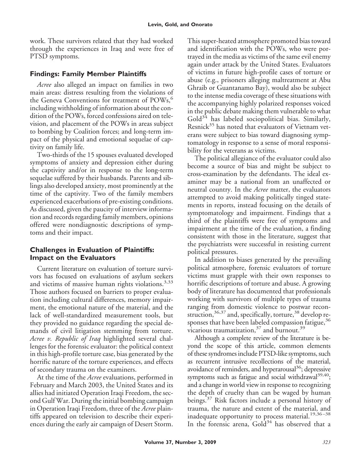work. These survivors related that they had worked through the experiences in Iraq and were free of PTSD symptoms.

## **Findings: Family Member Plaintiffs**

*Acree* also alleged an impact on families in two main areas: distress resulting from the violations of the Geneva Conventions for treatment of  $POWs<sub>o</sub>$ <sup>6</sup> including withholding of information about the condition of the POWs, forced confessions aired on television, and placement of the POWs in areas subject to bombing by Coalition forces; and long-term impact of the physical and emotional sequelae of captivity on family life.

Two-thirds of the 15 spouses evaluated developed symptoms of anxiety and depression either during the captivity and/or in response to the long-term sequelae suffered by their husbands. Parents and siblings also developed anxiety, most prominently at the time of the captivity. Two of the family members experienced exacerbations of pre-existing conditions. As discussed, given the paucity of interview information and records regarding family members, opinions offered were nondiagnostic descriptions of symptoms and their impact.

## **Challenges in Evaluation of Plaintiffs: Impact on the Evaluators**

Current literature on evaluation of torture survivors has focused on evaluations of asylum seekers and victims of massive human rights violations. $3,33$ Those authors focused on barriers to proper evaluation including cultural differences, memory impairment, the emotional nature of the material, and the lack of well-standardized measurement tools, but they provided no guidance regarding the special demands of civil litigation stemming from torture. *Acree v. Republic of Iraq* highlighted several challenges for the forensic evaluator: the political context in this high-profile torture case, bias generated by the horrific nature of the torture experiences, and effects of secondary trauma on the examiners.

At the time of the *Acree* evaluations, performed in February and March 2003, the United States and its allies had initiated Operation Iraqi Freedom, the second Gulf War. During the initial bombing campaign in Operation Iraqi Freedom, three of the *Acree* plaintiffs appeared on television to describe their experiences during the early air campaign of Desert Storm.

This super-heated atmosphere promoted bias toward and identification with the POWs, who were portrayed in the media as victims of the same evil enemy again under attack by the United States. Evaluators of victims in future high-profile cases of torture or abuse (e.g., prisoners alleging maltreatment at Abu Ghraib or Guantanamo Bay), would also be subject to the intense media coverage of these situations with the accompanying highly polarized responses voiced in the public debate making them vulnerable to what  $Gold<sup>34</sup>$  has labeled sociopolitical bias. Similarly, Resnick $35$  has noted that evaluators of Vietnam veterans were subject to bias toward diagnosing symptomatology in response to a sense of moral responsibility for the veterans as victims.

The political allegiance of the evaluator could also become a source of bias and might be subject to cross-examination by the defendants. The ideal examiner may be a national from an unaffected or neutral country. In the *Acree* matter, the evaluators attempted to avoid making politically tinged statements in reports, instead focusing on the details of symptomatology and impairment. Findings that a third of the plaintiffs were free of symptoms and impairment at the time of the evaluation, a finding consistent with those in the literature, suggest that the psychiatrists were successful in resisting current political pressures.

In addition to biases generated by the prevailing political atmosphere, forensic evaluators of torture victims must grapple with their own responses to horrific descriptions of torture and abuse. A growing body of literature has documented that professionals working with survivors of multiple types of trauma ranging from domestic violence to postwar reconstruction, 36,37 and, specifically, torture, 38 develop responses that have been labeled compassion fatigue,<sup>36</sup> vicarious traumatization,<sup>37</sup> and burnout.<sup>39</sup>

Although a complete review of the literature is beyond the scope of this article, common elements of these syndromes include PTSD-like symptoms, such as recurrent intrusive recollections of the material, avoidance of reminders, and hyperarousal<sup>36</sup>; depressive symptoms such as fatigue and social withdrawal $39,40$ ; and a change inworld view in response to recognizing the depth of cruelty than can be waged by human beings.<sup>37</sup> Risk factors include a personal history of trauma, the nature and extent of the material, and inadequate opportunity to process material.<sup>19,36-38</sup> In the forensic arena,  $Gold^{34}$  has observed that a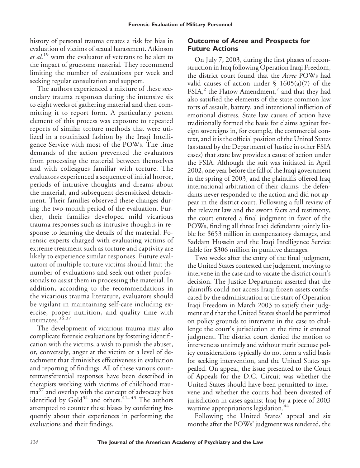history of personal trauma creates a risk for bias in evaluation of victims of sexual harassment. Atkinson *et al.*<sup>19</sup> warn the evaluator of veterans to be alert to the impact of gruesome material. They recommend limiting the number of evaluations per week and seeking regular consultation and support.

The authors experienced a mixture of these secondary trauma responses during the intensive six to eight weeks of gathering material and then committing it to report form. A particularly potent element of this process was exposure to repeated reports of similar torture methods that were utilized in a routinized fashion by the Iraqi Intelligence Service with most of the POWs. The time demands of the action prevented the evaluators from processing the material between themselves and with colleagues familiar with torture. The evaluators experienced a sequence of initial horror, periods of intrusive thoughts and dreams about the material, and subsequent desensitized detachment. Their families observed these changes during the two-month period of the evaluation. Further, their families developed mild vicarious trauma responses such as intrusive thoughts in response to learning the details of the material. Forensic experts charged with evaluating victims of extreme treatment such as torture and captivity are likely to experience similar responses. Future evaluators of multiple torture victims should limit the number of evaluations and seek out other professionals to assist them in processing the material. In addition, according to the recommendations in the vicarious trauma literature, evaluators should be vigilant in maintaining self-care including exercise, proper nutrition, and quality time with intimates.36,37

The development of vicarious trauma may also complicate forensic evaluations by fostering identification with the victims, a wish to punish the abuser, or, conversely, anger at the victim or a level of detachment that diminishes effectiveness in evaluation and reporting of findings. All of these various countertransferential responses have been described in therapists working with victims of childhood trauma<sup>37</sup> and overlap with the concept of advocacy bias identified by  $Gold^{34}$  and others.<sup>41–43</sup> The authors attempted to counter these biases by conferring frequently about their experiences in performing the evaluations and their findings.

## **Outcome of** *Acree* **and Prospects for Future Actions**

On July 7, 2003, during the first phases of reconstruction in Iraq following Operation Iraqi Freedom, the district court found that the *Acree* POWs had valid causes of action under  $\frac{1605(a)}{7}$  of the FSIA, $^2$  the Flatow Amendment, $^7$  and that they had also satisfied the elements of the state common law torts of assault, battery, and intentional infliction of emotional distress. State law causes of action have traditionally formed the basis for claims against foreign sovereigns in, for example, the commercial context, and it is the official position of the United States (as stated by the Department of Justice in other FSIA cases) that state law provides a cause of action under the FSIA. Although the suit was initiated in April 2002, one year before the fall of the Iraqi government in the spring of 2003, and the plaintiffs offered Iraq international arbitration of their claims, the defendants never responded to the action and did not appear in the district court. Following a full review of the relevant law and the sworn facts and testimony, the court entered a final judgment in favor of the POWs, finding all three Iraqi defendants jointly liable for \$653 million in compensatory damages, and Saddam Hussein and the Iraqi Intelligence Service liable for \$306 million in punitive damages.

Two weeks after the entry of the final judgment, the United States contested the judgment, moving to intervene in the case and to vacate the district court's decision. The Justice Department asserted that the plaintiffs could not access Iraqi frozen assets confiscated by the administration at the start of Operation Iraqi Freedom in March 2003 to satisfy their judgment and that the United States should be permitted on policy grounds to intervene in the case to challenge the court's jurisdiction at the time it entered judgment. The district court denied the motion to intervene as untimely and without merit because policy considerations typically do not form a valid basis for seeking intervention, and the United States appealed. On appeal, the issue presented to the Court of Appeals for the D.C. Circuit was whether the United States should have been permitted to intervene and whether the courts had been divested of jurisdiction in cases against Iraq by a piece of 2003 wartime appropriations legislation.<sup>44</sup>

Following the United States' appeal and six months after the POWs' judgment was rendered, the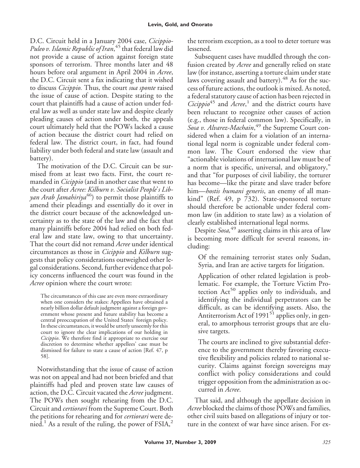D.C. Circuit held in a January 2004 case, *Cicippio-Puleo v. Islamic Republic of Iran*, <sup>45</sup> that federal law did not provide a cause of action against foreign state sponsors of terrorism. Three months later and 48 hours before oral argument in April 2004 in *Acree*, the D.C. Circuit sent a fax indicating that it wished to discuss *Cicippio.* Thus, the court *sua sponte* raised the issue of cause of action. Despite stating to the court that plaintiffs had a cause of action under federal law as well as under state law and despite clearly pleading causes of action under both, the appeals court ultimately held that the POWs lacked a cause of action because the district court had relied on federal law. The district court, in fact, had found liability under both federal and state law (assault and battery).

The motivation of the D.C. Circuit can be surmised from at least two facts. First, the court remanded in *Cicippio* (and in another case that went to the court after *Acree: Kilburn v. Socialist People*'*s Libyan Arab Jamahiriya*<sup>46</sup>) to permit those plaintiffs to amend their pleadings and essentially do it over in the district court because of the acknowledged uncertainty as to the state of the law and the fact that many plaintiffs before 2004 had relied on both federal law and state law, owing to that uncertainty. That the court did not remand *Acree* under identical circumstances as those in *Cicippio* and *Kilburn* suggests that policy considerations outweighed other legal considerations. Second, further evidence that policy concerns influenced the court was found in the *Acree* opinion where the court wrote:

The circumstances of this case are even more extraordinary when one considers the stakes: Appellees have obtained a nearly billion dollar default judgment against a foreign government whose present and future stability has become a central preoccupation of the United States' foreign policy. In these circumstances, it would be utterly unseemly for this court to ignore the clear implications of our holding in *Cicippio*. We therefore find it appropriate to exercise our discretion to determine whether appellees' case must be dismissed for failure to state a cause of action [Ref. 47, p 58].

Notwithstanding that the issue of cause of action was not on appeal and had not been briefed and that plaintiffs had pled and proven state law causes of action, the D.C. Circuit vacated the *Acree* judgment. The POWs then sought rehearing from the D.C. Circuit and *certiorari* from the Supreme Court. Both the petitions for rehearing and for *certiorari* were denied.<sup>1</sup> As a result of the ruling, the power of  $FSIA$ ,<sup>2</sup>

the terrorism exception, as a tool to deter torture was lessened.

Subsequent cases have muddled through the confusion created by *Acree* and generally relied on state law (for instance, asserting a torture claim under state laws covering assault and battery). $48$  As for the success of future actions, the outlook is mixed. As noted, a federal statutory cause of action has been rejected in *Cicippio*<sup>45</sup> and *Acree*, <sup>1</sup> and the district courts have been reluctant to recognize other causes of action (e.g., those in federal common law). Specifically, in *Sosa v. Alvarez-Machain*, <sup>49</sup> the Supreme Court considered when a claim for a violation of an international legal norm is cognizable under federal common law. The Court endorsed the view that "actionable violations of international law must be of a norm that is specific, universal, and obligatory," and that "for purposes of civil liability, the torturer has become—like the pirate and slave trader before him—*hostis humani generis*, an enemy of all mankind" (Ref. 49, p 732). State-sponsored torture should therefore be actionable under federal common law (in addition to state law) as a violation of clearly established international legal norms.

Despite *Sosa,*<sup>49</sup> asserting claims in this area of law is becoming more difficult for several reasons, including:

Of the remaining terrorist states only Sudan, Syria, and Iran are active targets for litigation.

Application of other related legislation is problematic. For example, the Torture Victim Protection  $Act^{50}$  applies only to individuals, and identifying the individual perpetrators can be difficult, as can be identifying assets. Also, the Antiterrorism Act of 1991<sup>51</sup> applies only, in general, to amorphous terrorist groups that are elusive targets.

The courts are inclined to give substantial deference to the government thereby favoring executive flexibility and policies related to national security. Claims against foreign sovereigns may conflict with policy considerations and could trigger opposition from the administration as occurred in *Acree*.

That said, and although the appellate decision in *Acree* blocked the claims of those POWs and families, other civil suits based on allegations of injury or torture in the context of war have since arisen. For ex-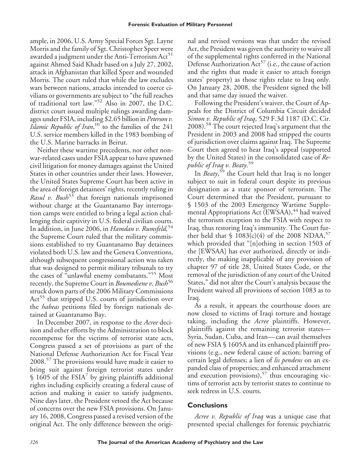ample, in 2006, U.S. Army Special Forces Sgt. Layne Morris and the family of Sgt. Christopher Speer were awarded a judgment under the Anti-Terrorism  $Act<sup>51</sup>$ against Ahmed Said Khadr based on a July 27, 2002, attack in Afghanistan that killed Speer and wounded Morris. The court ruled that while the law excludes wars between nations, attacks intended to coerce civilians or governments are subject to "the full reaches of traditional tort law."<sup>52</sup> Also in 2007, the D.C. district court issued multiple rulings awarding damages under FSIA, including \$2.65 billion in *Peterson v. Islamic Republic of Iran*, <sup>10</sup> to the families of the 241 U.S. service members killed in the 1983 bombing of the U.S. Marine barracks in Beirut.

Neither these wartime precedents, nor other nonwar-related cases under FSIA appear to have spawned civil litigation for money damages against the United States in other countries under their laws. However, the United States Supreme Court has been active in the area of foreign detainees' rights, recently ruling in *Rasul v. Bush*<sup>53</sup> that foreign nationals imprisoned without charge at the Guantanamo Bay interrogation camps were entitled to bring a legal action challenging their captivity in U.S. federal civilian courts. In addition, in June 2006, in *Hamdan v. Rumsfeld,*<sup>54</sup> the Supreme Court ruled that the military commissions established to try Guantanamo Bay detainees violated both U.S. law and the Geneva Conventions, although subsequent congressional action was taken that was designed to permit military tribunals to try the cases of "unlawful enemy combatants."<sup>55</sup> Most recently, the Supreme Court in *Boumediene v. Bush*<sup>56</sup> struck down parts of the 2006 Military Commissions Act<sup>55</sup> that stripped U.S. courts of jurisdiction over the *habeas* petitions filed by foreign nationals detained at Guantanamo Bay.

In December 2007, in response to the *Acree* decision and other efforts by the Administration to block recompense for the victims of terrorist state acts, Congress passed a set of provisions as part of the National Defense Authorization Act for Fiscal Year 2008.<sup>57</sup> The provisions would have made it easier to bring suit against foreign terrorist states under  $$1605$  of the FSIA<sup>7</sup> by giving plaintiffs additional rights including explicitly creating a federal cause of action and making it easier to satisfy judgments. Nine days later, the President vetoed the Act because of concerns over the new FSIA provisions. On January 16, 2008, Congress passed a revised version of the original Act. The only difference between the original and revised versions was that under the revised Act, the President was given the authority to waive all of the supplemental rights conferred in the National Defense Authorization  $Act^{57}$  (i.e., the cause of action and the rights that made it easier to attach foreign states' property) as those rights relate to Iraq only. On January 28, 2008, the President signed the bill and that same day issued the waiver.

Following the President's waiver, the Court of Appeals for the District of Columbia Circuit decided *Simon v. Republic of Iraq*, 529 F.3d 1187 (D.C. Cir. 2008).<sup>58</sup> The court rejected Iraq's argument that the President in 2003 and 2008 had stripped the courts of jurisdiction over claims against Iraq. The Supreme Court then agreed to hear Iraq's appeal (supported by the United States) in the consolidated case of *Republic of Iraq v. Beaty*. 59

In *Beaty*, <sup>59</sup> the Court held that Iraq is no longer subject to suit in federal court despite its previous designation as a state sponsor of terrorism. The Court determined that the President, pursuant to § 1503 of the 2003 Emergency Wartime Supplemental Appropriations Act (EWSAA), $44$  had waived the terrorism exception to the FSIA with respect to Iraq, thus restoring Iraq's immunity. The Court further held that  $\frac{1083(c)(4)}{4}$  of the 2008 NDAA,<sup>57</sup> which provided that "[n]othing in section 1503 of the [EWSAA] has ever authorized, directly or indirectly, the making inapplicable of any provision of chapter 97 of title 28, United States Code, or the removal of the jurisdiction of any court of the United States," did not alter the Court's analysis because the President waived all provisions of section 1083 as to Iraq.

As a result, it appears the courthouse doors are now closed to victims of Iraqi torture and hostage taking, including the *Acree* plaintiffs. However, plaintiffs against the remaining terrorist states— Syria, Sudan, Cuba, and Iran— can avail themselves of new FSIA § 1605A and its enhanced plaintiff provisions (e.g., new federal cause of action; barring of certain legal defenses; a lien of *lis pendens* on an expanded class of properties; and enhanced attachment and execution provisions),  $57$  thus encouraging victims of terrorist acts by terrorist states to continue to seek redress in U.S. courts.

## **Conclusions**

*Acree v. Republic of Iraq* was a unique case that presented special challenges for forensic psychiatric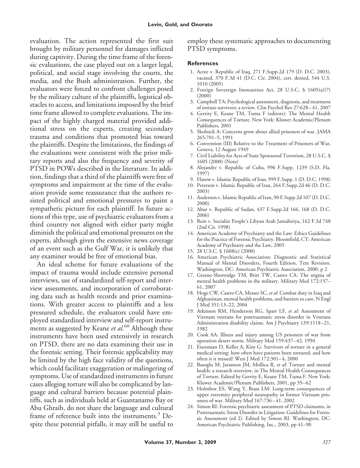evaluation. The action represented the first suit brought by military personnel for damages inflicted during captivity. During the time frame of the forensic evaluations, the case played out on a larger legal, political, and social stage involving the courts, the media, and the Bush administration. Further, the evaluators were forced to confront challenges posed by the military culture of the plaintiffs, logistical obstacles to access, and limitations imposed by the brief time frame allowed to complete evaluations. The impact of the highly charged material provided additional stress on the experts, creating secondary trauma and conditions that promoted bias toward the plaintiffs. Despite the limitations, the findings of the evaluations were consistent with the prior military reports and also the frequency and severity of PTSD in POWs described in the literature. In addition, findings that a third of the plaintiffs were free of symptoms and impairment at the time of the evaluation provide some reassurance that the authors resisted political and emotional pressures to paint a sympathetic picture for each plaintiff. In future actions of this type, use of psychiatric evaluators from a third country not aligned with either party might diminish the political and emotional pressures on the experts, although given the extensive news coverage of an event such as the Gulf War, it is unlikely that any examiner would be free of emotional bias.

An ideal scheme for future evaluations of the impact of trauma would include extensive personal interviews, use of standardized self-report and interview assessments, and incorporation of corroborating data such as health records and prior examinations. With greater access to plaintiffs and a less pressured schedule, the evaluators could have employed standardized interview and self-report instruments as suggested by Keane *et al.*<sup>60</sup> Although these instruments have been used extensively in research on PTSD, there are no data examining their use in the forensic setting. Their forensic applicability may be limited by the high face validity of the questions, which could facilitate exaggeration or malingering of symptoms. Use of standardized instruments in future cases alleging torture will also be complicated by language and cultural barriers because potential plaintiffs, such as individuals held at Guantanamo Bay or Abu Ghraib, do not share the language and cultural frame of reference built into the instruments.<sup>3</sup> Despite these potential pitfalls, it may still be useful to

employ these systematic approaches to documenting PTSD symptoms.

#### **References**

- 1. Acree v. Republic of Iraq, 271 F.Supp.2d 179 (D. D.C. 2003), vacated, 370 F.3d 41 (D.C. Cir. 2004), cert. denied, 544 U.S. 1010 (2005)
- 2. Foreign Sovereign Immunities Act, 28 U.S.C. § 1605(a)(7) (2000)
- 3. Campbell TA: Psychological assessment, diagnosis, and treatment of torture survivors: a review. Clin Psychol Rev 27:628 – 41, 2007
- 4. Gerrity E, Keane TM, Tuma F (editors): The Mental Health Consequences of Torture. New York: Kluwer Academic/Plenum Publishers, 2001
- 5. Skolnick A: Concerns grow about allied prisoners of war. JAMA 265:701–5, 1991
- 6. Convention (III) Relative to the Treatment of Prisoners of War, Geneva, 12 August 1949
- 7. Civil Liability for Acts of State Sponsored Terrorism, 28 U.S.C. § 1605 (2000) (Note)
- 8. Alejandre v. Republic of Cuba, 996 F.Supp. 1239 (S.D. Fla. 1997)
- 9. Flatow v. Islamic Republic of Iran, 999 F.Supp. 1 (D. D.C. 1998)
- 10. Peterson v. Islamic Republic of Iran, 264 F.Supp.2d 46 (D. D.C. 2003)
- 11. Anderson v. Islamic Republic of Iran, 90 F.Supp.2d 107 (D. D.C. 2000)
- 12. Abur v. Republic of Sudan, 437 F.Supp.2d 166, 168 (D. D.C. 2006)
- 13. Rein v. Socialist People's Libyan Arab Jamahiriya, 162 F.3d 748 (2nd Cir. 1998)
- 14. American Academy of Psychiatry and the Law: Ethics Guidelines for the Practice of Forensic Psychiatry. Bloomfield, CT: American Academy of Psychiatry and the Law, 2005
- 15. 28 U.S.C. § 1608(e) (2000)
- 16. American Psychiatric Association: Diagnostic and Statistical Manual of Mental Disorders, Fourth Edition, Text Revision. Washington, DC: American Psychiatric Association, 2000, p 2
- 17. Greene-Shortridge TM, Britt TW, Castro CA: The stigma of mental health problems in the military. Military Med 172:157– 61, 2007
- 18. Hoge CW, Castro CA, Messer SC, *et al*: Combat duty in Iraq and Afghanistan, mental health problems, and barriers to care. N Engl J Med 351:13–22, 2004
- 19. Atkinson RM, Henderson RG, Sparr LF, *et al*: Assessment of Vietnam veterans for posttraumatic stress disorder in Veterans Administration disability claims. Am J Psychiatry 139:1118 –21, 1982
- 20. Cook AA: Illness and injury among US prisoners of war from operation desert storm. Military Med 159:437– 42, 1994
- 21. Eisenman D, Keller A, Kim G: Survivors of torture in a general medical setting: how often have patients been tortured, and how often is it missed? West J Med 172:301-4, 2000
- 22. Basoglu M, Jaranson JM, Mollica R, *et al*: Torture and mental health: a research overview, in The Mental Health Consequences of Torture. Edited by Gerrity E, Keane TM, Tuma F. New York: Kluwer Academic/Plenum Publishers, 2001, pp 35– 62
- 23. Holmboe ES, Wang Y, Brass LM: Long-term consequences of upper extremity peripheral neuropathy in former Vietnam prisoners of war. Military Med 167:736 – 41, 2002
- 24. Simon RI: Forensic psychiatric assessment of PTSD claimants, in Posttraumatic Stress Disorder in Litigation: Guidelines for Forensic Assessment (ed 2). Edited by Simon RI. Washington, DC: American Psychiatric Publishing, Inc., 2003, pp 41–90